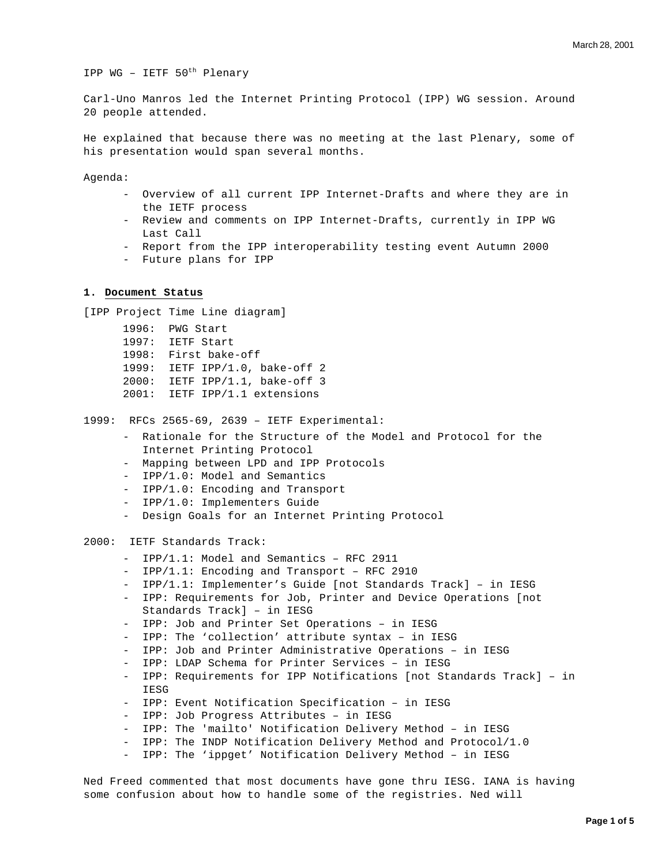IPP WG – IETF 50th Plenary

Carl-Uno Manros led the Internet Printing Protocol (IPP) WG session. Around 20 people attended.

He explained that because there was no meeting at the last Plenary, some of his presentation would span several months.

Agenda:

- Overview of all current IPP Internet-Drafts and where they are in the IETF process
- Review and comments on IPP Internet-Drafts, currently in IPP WG Last Call
- Report from the IPP interoperability testing event Autumn 2000
- Future plans for IPP

# **1. Document Status**

[IPP Project Time Line diagram]

1996: PWG Start 1997: IETF Start 1998: First bake-off 1999: IETF IPP/1.0, bake-off 2 2000: IETF IPP/1.1, bake-off 3 2001: IETF IPP/1.1 extensions

1999: RFCs 2565-69, 2639 – IETF Experimental:

- Rationale for the Structure of the Model and Protocol for the Internet Printing Protocol
- Mapping between LPD and IPP Protocols
- IPP/1.0: Model and Semantics
- IPP/1.0: Encoding and Transport
- IPP/1.0: Implementers Guide
- Design Goals for an Internet Printing Protocol

2000: IETF Standards Track:

- IPP/1.1: Model and Semantics RFC 2911
- IPP/1.1: Encoding and Transport RFC 2910
- IPP/1.1: Implementer's Guide [not Standards Track] in IESG
- IPP: Requirements for Job, Printer and Device Operations [not Standards Track] – in IESG
- IPP: Job and Printer Set Operations in IESG
- IPP: The 'collection' attribute syntax in IESG
- IPP: Job and Printer Administrative Operations in IESG
- IPP: LDAP Schema for Printer Services in IESG
- IPP: Requirements for IPP Notifications [not Standards Track] in IESG
- IPP: Event Notification Specification in IESG
- IPP: Job Progress Attributes in IESG
- IPP: The 'mailto' Notification Delivery Method in IESG
- IPP: The INDP Notification Delivery Method and Protocol/1.0
- IPP: The 'ippget' Notification Delivery Method in IESG

Ned Freed commented that most documents have gone thru IESG. IANA is having some confusion about how to handle some of the registries. Ned will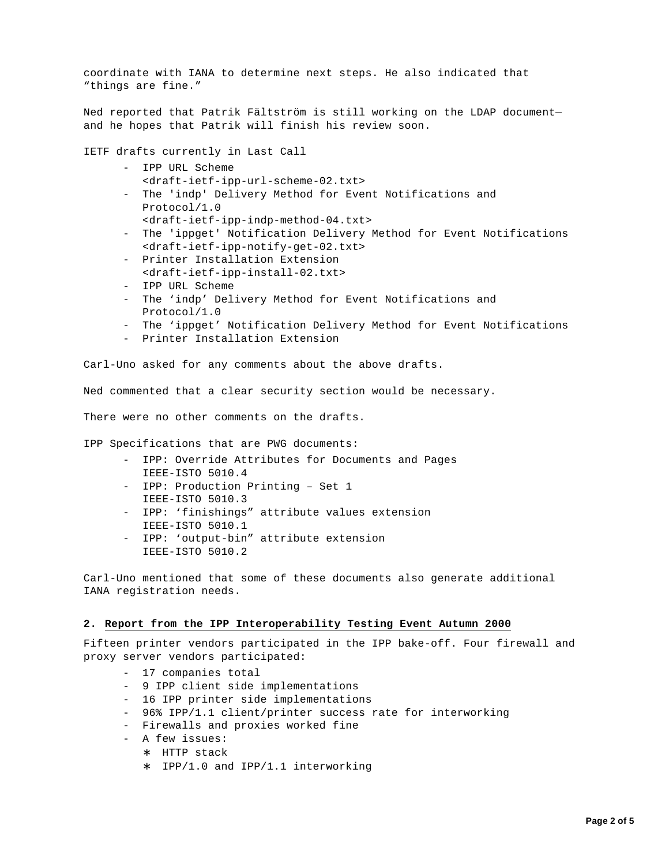coordinate with IANA to determine next steps. He also indicated that "things are fine."

Ned reported that Patrik Fältström is still working on the LDAP document and he hopes that Patrik will finish his review soon.

IETF drafts currently in Last Call

- IPP URL Scheme <draft-ietf-ipp-url-scheme-02.txt>
- The 'indp' Delivery Method for Event Notifications and Protocol/1.0
	- <draft-ietf-ipp-indp-method-04.txt>
- The 'ippget' Notification Delivery Method for Event Notifications <draft-ietf-ipp-notify-get-02.txt>
- Printer Installation Extension <draft-ietf-ipp-install-02.txt>
- IPP URL Scheme
- The 'indp' Delivery Method for Event Notifications and Protocol/1.0
- The 'ippget' Notification Delivery Method for Event Notifications
- Printer Installation Extension

Carl-Uno asked for any comments about the above drafts.

Ned commented that a clear security section would be necessary.

There were no other comments on the drafts.

IPP Specifications that are PWG documents:

- IPP: Override Attributes for Documents and Pages IEEE-ISTO 5010.4
- IPP: Production Printing Set 1 IEEE-ISTO 5010.3
- IPP: 'finishings" attribute values extension IEEE-ISTO 5010.1
- IPP: 'output-bin" attribute extension IEEE-ISTO 5010.2

Carl-Uno mentioned that some of these documents also generate additional IANA registration needs.

#### **2. Report from the IPP Interoperability Testing Event Autumn 2000**

Fifteen printer vendors participated in the IPP bake-off. Four firewall and proxy server vendors participated:

- 17 companies total
- 9 IPP client side implementations
- 16 IPP printer side implementations
- 96% IPP/1.1 client/printer success rate for interworking
- Firewalls and proxies worked fine
- A few issues:
	- ∗ HTTP stack
	- ∗ IPP/1.0 and IPP/1.1 interworking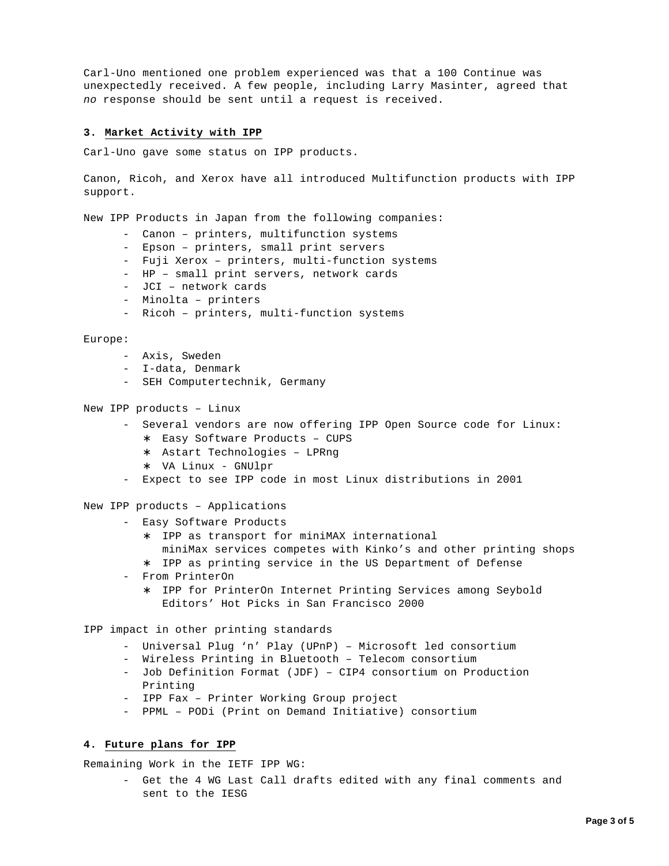Carl-Uno mentioned one problem experienced was that a 100 Continue was unexpectedly received. A few people, including Larry Masinter, agreed that *no* response should be sent until a request is received.

## **3. Market Activity with IPP**

Carl-Uno gave some status on IPP products.

Canon, Ricoh, and Xerox have all introduced Multifunction products with IPP support.

New IPP Products in Japan from the following companies:

- Canon printers, multifunction systems
- Epson printers, small print servers
- Fuji Xerox printers, multi-function systems
- HP small print servers, network cards
- JCI network cards
- Minolta printers
- Ricoh printers, multi-function systems

#### Europe:

- Axis, Sweden
- I-data, Denmark
- SEH Computertechnik, Germany

### New IPP products – Linux

- Several vendors are now offering IPP Open Source code for Linux:
	- ∗ Easy Software Products CUPS
	- ∗ Astart Technologies LPRng
	- ∗ VA Linux GNUlpr
- Expect to see IPP code in most Linux distributions in 2001

New IPP products – Applications

- Easy Software Products
	- ∗ IPP as transport for miniMAX international miniMax services competes with Kinko's and other printing shops
	- ∗ IPP as printing service in the US Department of Defense
- From PrinterOn
	- ∗ IPP for PrinterOn Internet Printing Services among Seybold Editors' Hot Picks in San Francisco 2000
- IPP impact in other printing standards
	- Universal Plug 'n' Play (UPnP) Microsoft led consortium
	- Wireless Printing in Bluetooth Telecom consortium
	- Job Definition Format (JDF) CIP4 consortium on Production Printing
	- IPP Fax Printer Working Group project
	- PPML PODi (Print on Demand Initiative) consortium

# **4. Future plans for IPP**

Remaining Work in the IETF IPP WG:

- Get the 4 WG Last Call drafts edited with any final comments and sent to the IESG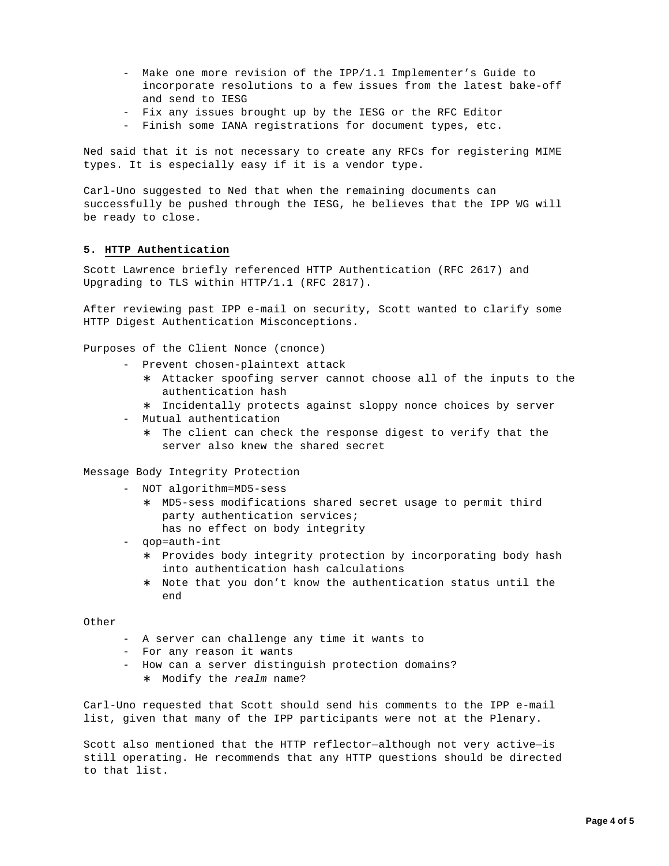- Make one more revision of the IPP/1.1 Implementer's Guide to incorporate resolutions to a few issues from the latest bake-off and send to IESG
- Fix any issues brought up by the IESG or the RFC Editor
- Finish some IANA registrations for document types, etc.

Ned said that it is not necessary to create any RFCs for registering MIME types. It is especially easy if it is a vendor type.

Carl-Uno suggested to Ned that when the remaining documents can successfully be pushed through the IESG, he believes that the IPP WG will be ready to close.

### **5. HTTP Authentication**

Scott Lawrence briefly referenced HTTP Authentication (RFC 2617) and Upgrading to TLS within HTTP/1.1 (RFC 2817).

After reviewing past IPP e-mail on security, Scott wanted to clarify some HTTP Digest Authentication Misconceptions.

Purposes of the Client Nonce (cnonce)

- Prevent chosen-plaintext attack
	- ∗ Attacker spoofing server cannot choose all of the inputs to the authentication hash
	- ∗ Incidentally protects against sloppy nonce choices by server
- Mutual authentication
	- The client can check the response digest to verify that the server also knew the shared secret

Message Body Integrity Protection

- NOT algorithm=MD5-sess
	- ∗ MD5-sess modifications shared secret usage to permit third party authentication services; has no effect on body integrity
- qop=auth-int
	- ∗ Provides body integrity protection by incorporating body hash into authentication hash calculations
	- ∗ Note that you don't know the authentication status until the end

Other

- A server can challenge any time it wants to
- For any reason it wants
- How can a server distinguish protection domains? ∗ Modify the *realm* name?

Carl-Uno requested that Scott should send his comments to the IPP e-mail list, given that many of the IPP participants were not at the Plenary.

Scott also mentioned that the HTTP reflector—although not very active—is still operating. He recommends that any HTTP questions should be directed to that list.